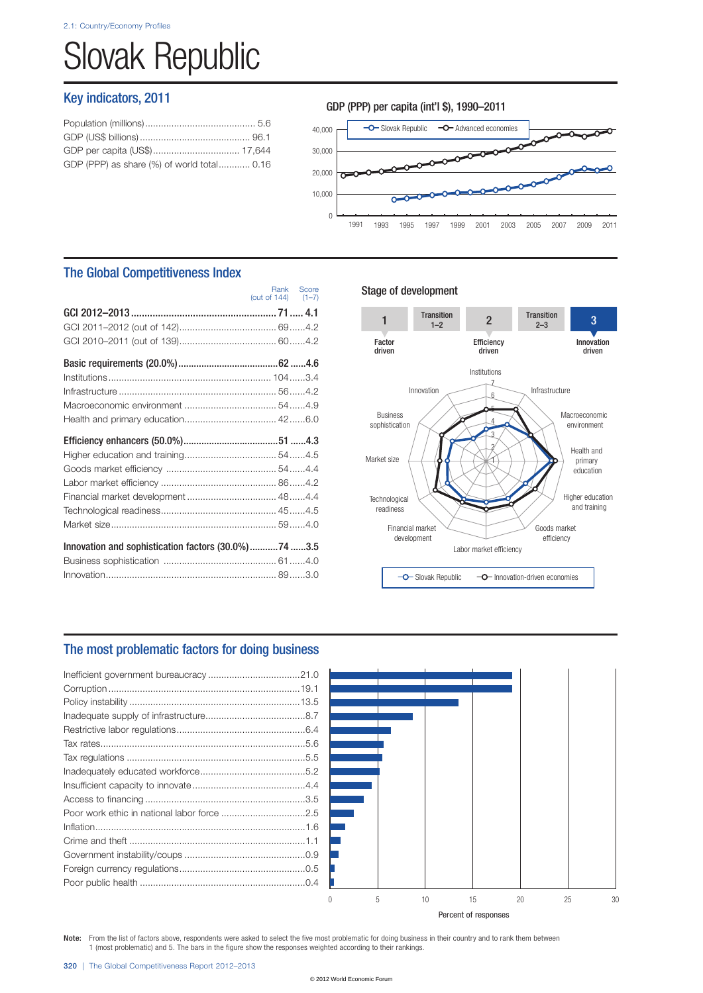# Slovak Republic

## Key indicators, 2011

| GDP (PPP) as share (%) of world total 0.16 |  |
|--------------------------------------------|--|
|                                            |  |



## The Global Competitiveness Index

|                                                     | (out of $144$ ) $(1-7)$ | Rank Score |
|-----------------------------------------------------|-------------------------|------------|
|                                                     |                         |            |
|                                                     |                         |            |
|                                                     |                         |            |
|                                                     |                         |            |
|                                                     |                         |            |
|                                                     |                         |            |
|                                                     |                         |            |
|                                                     |                         |            |
|                                                     |                         |            |
|                                                     |                         |            |
|                                                     |                         |            |
|                                                     |                         |            |
|                                                     |                         |            |
| Financial market development  48 4.4                |                         |            |
|                                                     |                         |            |
|                                                     |                         |            |
| Innovation and sophistication factors (30.0%)74 3.5 |                         |            |
|                                                     |                         |            |

### Stage of development



## The most problematic factors for doing business



Percent of responses

Note: From the list of factors above, respondents were asked to select the five most problematic for doing business in their country and to rank them between 1 (most problematic) and 5. The bars in the figure show the responses weighted according to their rankings.